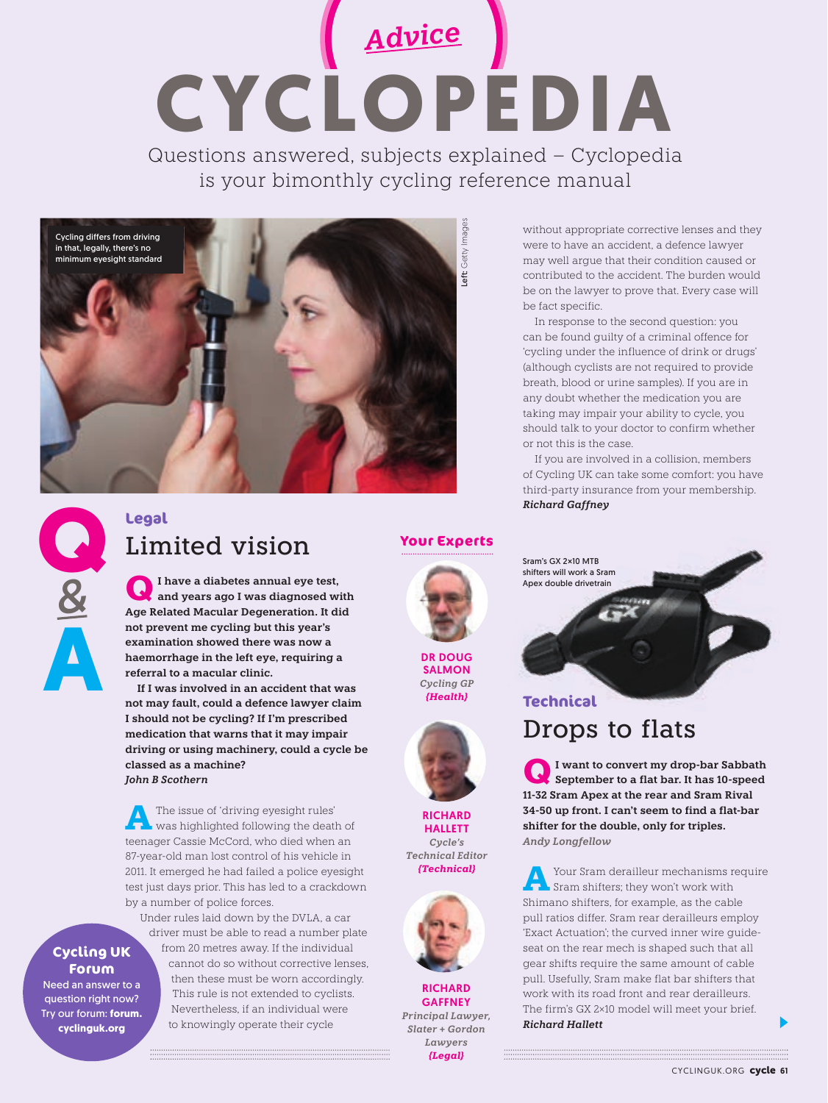*Advice* **CYCLOPEDIA** Questions answered, subjects explained – Cyclopedia is your bimonthly cycling reference manual



without appropriate corrective lenses and they were to have an accident, a defence lawyer may well argue that their condition caused or contributed to the accident. The burden would be on the lawyer to prove that. Every case will be fact specific.

In response to the second question: you can be found guilty of a criminal offence for 'cycling under the influence of drink or drugs' (although cyclists are not required to provide breath, blood or urine samples). If you are in any doubt whether the medication you are taking may impair your ability to cycle, you should talk to your doctor to confirm whether or not this is the case.

If you are involved in a collision, members of Cycling UK can take some comfort: you have third-party insurance from your membership. *Richard Gaffney*

**Q A** *&*

### **Legal** Limited vision

**QI have a diabetes annual eye test, and years ago I was diagnosed with Age Related Macular Degeneration. It did not prevent me cycling but this year's examination showed there was now a haemorrhage in the left eye, requiring a referral to a macular clinic.** 

**If I was involved in an accident that was not may fault, could a defence lawyer claim I should not be cycling? If I'm prescribed medication that warns that it may impair driving or using machinery, could a cycle be classed as a machine?**  *John B Scothern*

**A**The issue of 'driving eyesight rules' was highlighted following the death of teenager Cassie McCord, who died when an 87-year-old man lost control of his vehicle in 2011. It emerged he had failed a police eyesight test just days prior. This has led to a crackdown by a number of police forces.

### **Cycling UK Forum**

Need an answer to a question right now? Try our forum: **forum. cyclinguk.org** 

Under rules laid down by the DVLA, a car driver must be able to read a number plate from 20 metres away. If the individual cannot do so without corrective lenses, then these must be worn accordingly. This rule is not extended to cyclists. Nevertheless, if an individual were to knowingly operate their cycle

**Your Experts**



DR DOUG SALMON *Cycling GP {Health}*



**RICHARD HALLETT** *Cycle's Technical Editor {Technical}* 



**RICHARD GAFFNEY** *Principal Lawyer, Slater + Gordon Lawyers {Legal}*

**Technical** Drops to flats

Sram's GX 2**×**10 MTB shifters will work a Sram Apex double drivetrain

**QI want to convert my drop-bar Sabbath September to a flat bar. It has 10-speed 11-32 Sram Apex at the rear and Sram Rival 34-50 up front. I can't seem to find a flat-bar shifter for the double, only for triples.**  *Andy Longfellow*

**A**Your Sram derailleur mechanisms require Sram shifters; they won't work with Shimano shifters, for example, as the cable pull ratios differ. Sram rear derailleurs employ 'Exact Actuation'; the curved inner wire guideseat on the rear mech is shaped such that all gear shifts require the same amount of cable pull. Usefully, Sram make flat bar shifters that work with its road front and rear derailleurs. The firm's GX 2×10 model will meet your brief. *Richard Hallett*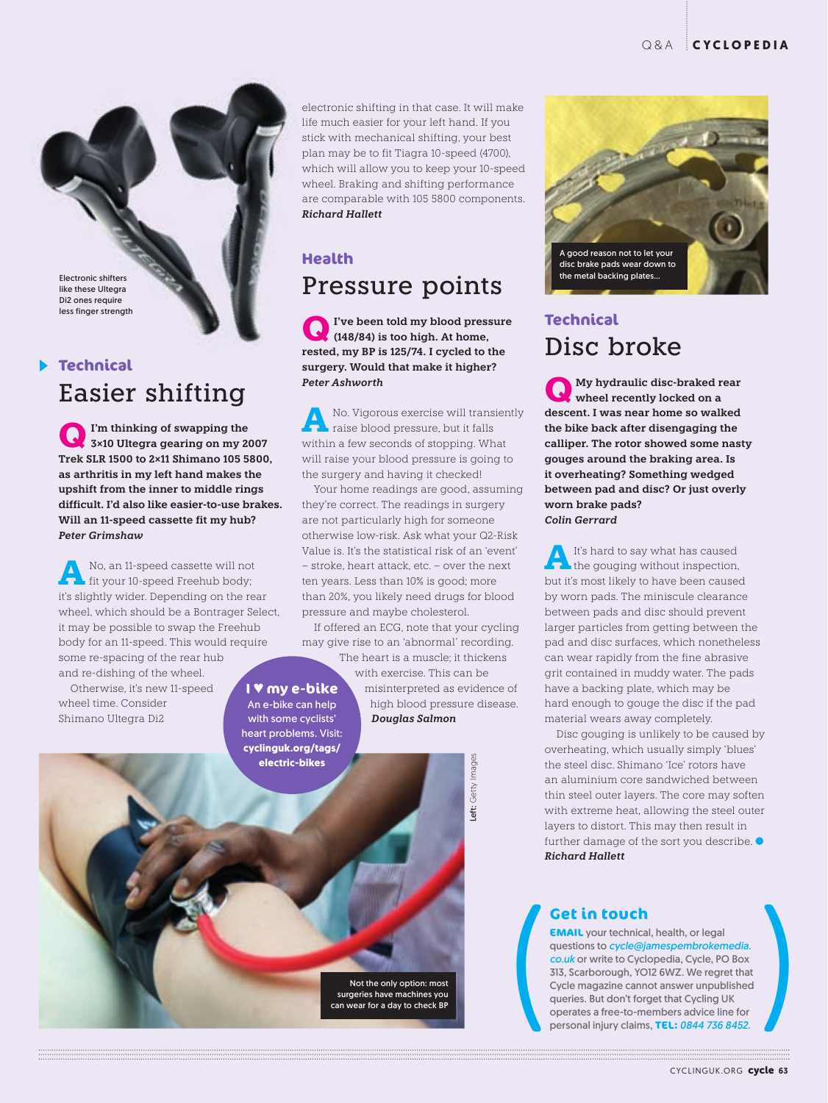Electronic shifters like these Ultegra Di2 ones require less finger strength

### **Technical** Easier shifting

**QI'm thinking of swapping the 3×10 Ultegra gearing on my 2007 Trek SLR 1500 to 2×11 Shimano 105 5800, as arthritis in my left hand makes the upshift from the inner to middle rings difficult. I'd also like easier-to-use brakes. Will an 11-speed cassette fit my hub?** *Peter Grimshaw*

**A** No, an 11-speed cassette will not fit your 10-speed Freehub body; it's slightly wider. Depending on the rear wheel, which should be a Bontrager Select, it may be possible to swap the Freehub body for an 11-speed. This would require some re-spacing of the rear hub and re-dishing of the wheel.

Otherwise, it's new 11-speed wheel time. Consider Shimano Ultegra Di2

electronic shifting in that case. It will make life much easier for your left hand. If you stick with mechanical shifting, your best plan may be to fit Tiagra 10-speed (4700), which will allow you to keep your 10-speed wheel. Braking and shifting performance are comparable with 105 5800 components. *Richard Hallett*

### **Health**

**I** ♥ **my e-bike** An e-bike can help with some cyclists' heart problems. Visit: **cyclinguk.org/tags/ electric-bikes**

### Pressure points

**QI've been told my blood pressure (148/84) is too high. At home, rested, my BP is 125/74. I cycled to the surgery. Would that make it higher?** *Peter Ashworth* 

**A** No. Vigorous exercise will transiently raise blood pressure, but it falls within a few seconds of stopping. What will raise your blood pressure is going to the surgery and having it checked!

Your home readings are good, assuming they're correct. The readings in surgery are not particularly high for someone otherwise low-risk. Ask what your Q2-Risk Value is. It's the statistical risk of an 'event' – stroke, heart attack, etc. – over the next ten years. Less than 10% is good; more than 20%, you likely need drugs for blood pressure and maybe cholesterol.

If offered an ECG, note that your cycling may give rise to an 'abnormal' recording.

> The heart is a muscle; it thickens with exercise. This can be misinterpreted as evidence of high blood pressure disease. *Douglas Salmon*

> > Left: Getty Images **eft:** Getty Image:

Not the only option: most surgeries have machines you can wear for a day to check BP



### **Technical**  Disc broke

**Q My hydraulic disc-braked rear wheel recently locked on a descent. I was near home so walked the bike back after disengaging the calliper. The rotor showed some nasty gouges around the braking area. Is it overheating? Something wedged between pad and disc? Or just overly worn brake pads?**  *Colin Gerrard*

**A**It's hard to say what has caused the gouging without inspection, but it's most likely to have been caused by worn pads. The miniscule clearance between pads and disc should prevent larger particles from getting between the pad and disc surfaces, which nonetheless can wear rapidly from the fine abrasive grit contained in muddy water. The pads have a backing plate, which may be hard enough to gouge the disc if the pad material wears away completely.

Disc gouging is unlikely to be caused by overheating, which usually simply 'blues' the steel disc. Shimano 'Ice' rotors have an aluminium core sandwiched between thin steel outer layers. The core may soften with extreme heat, allowing the steel outer layers to distort. This may then result in further damage of the sort you describe. *Richard Hallett*

**Cet in touch**<br> **EMAIL** your technical, health, or legal<br>
questions to *cycle@jamespembrokemedia.*<br>
co.uk or write to Cyclopedia, Cycle, PO Box<br>
313, Scarborough, YO12 6WZ. We regret that<br>
Cycle magazine cannot answer unpu **EMAIL** your technical, health, or legal questions to *cycle@jamespembrokemedia. co.uk* or write to Cyclopedia, Cycle, PO Box 313, Scarborough, YO12 6WZ. We regret that Cycle magazine cannot answer unpublished queries. But don't forget that Cycling UK operates a free-to-members advice line for personal injury claims, **TEL:** *0844 736 8452.* 

CYCLINGUK.ORG cycle 63